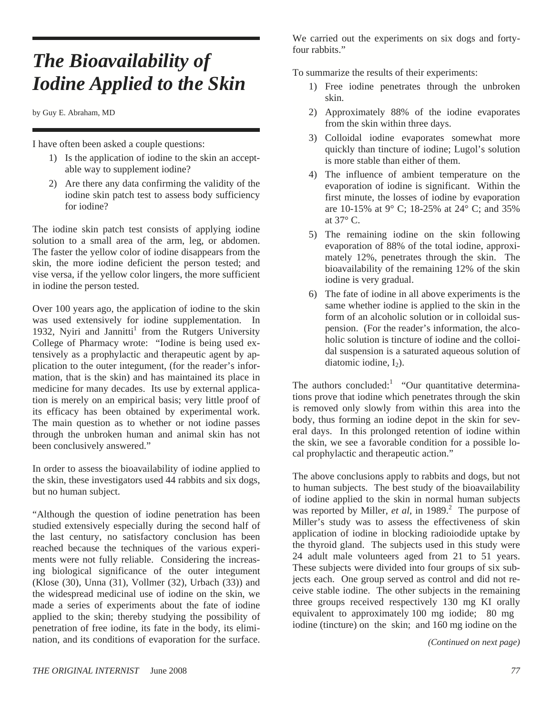## *The Bioavailability of Iodine Applied to the Skin*

by Guy E. Abraham, MD

I have often been asked a couple questions:

- 1) Is the application of iodine to the skin an acceptable way to supplement iodine?
- 2) Are there any data confirming the validity of the iodine skin patch test to assess body sufficiency for iodine?

The iodine skin patch test consists of applying iodine solution to a small area of the arm, leg, or abdomen. The faster the yellow color of iodine disappears from the skin, the more iodine deficient the person tested; and vise versa, if the yellow color lingers, the more sufficient in iodine the person tested.

Over 100 years ago, the application of iodine to the skin was used extensively for iodine supplementation. In 1932, Nyiri and Jannitti<sup>1</sup> from the Rutgers University College of Pharmacy wrote: "Iodine is being used extensively as a prophylactic and therapeutic agent by application to the outer integument, (for the reader's information, that is the skin) and has maintained its place in medicine for many decades. Its use by external application is merely on an empirical basis; very little proof of its efficacy has been obtained by experimental work. The main question as to whether or not iodine passes through the unbroken human and animal skin has not been conclusively answered."

In order to assess the bioavailability of iodine applied to the skin, these investigators used 44 rabbits and six dogs, but no human subject.

"Although the question of iodine penetration has been studied extensively especially during the second half of the last century, no satisfactory conclusion has been reached because the techniques of the various experiments were not fully reliable. Considering the increasing biological significance of the outer integument (Klose (30), Unna (31), Vollmer (32), Urbach (33)) and the widespread medicinal use of iodine on the skin, we made a series of experiments about the fate of iodine applied to the skin; thereby studying the possibility of penetration of free iodine, its fate in the body, its elimination, and its conditions of evaporation for the surface.

We carried out the experiments on six dogs and fortyfour rabbits."

To summarize the results of their experiments:

- 1) Free iodine penetrates through the unbroken skin.
- 2) Approximately 88% of the iodine evaporates from the skin within three days.
- 3) Colloidal iodine evaporates somewhat more quickly than tincture of iodine; Lugol's solution is more stable than either of them.
- 4) The influence of ambient temperature on the evaporation of iodine is significant. Within the first minute, the losses of iodine by evaporation are 10-15% at 9° C; 18-25% at 24° C; and 35% at 37° C.
- 5) The remaining iodine on the skin following evaporation of 88% of the total iodine, approximately 12%, penetrates through the skin. The bioavailability of the remaining 12% of the skin iodine is very gradual.
- 6) The fate of iodine in all above experiments is the same whether iodine is applied to the skin in the form of an alcoholic solution or in colloidal suspension. (For the reader's information, the alcoholic solution is tincture of iodine and the colloidal suspension is a saturated aqueous solution of diatomic iodine,  $I_2$ ).

The authors concluded: "Our quantitative determinations prove that iodine which penetrates through the skin is removed only slowly from within this area into the body, thus forming an iodine depot in the skin for several days. In this prolonged retention of iodine within the skin, we see a favorable condition for a possible local prophylactic and therapeutic action."

The above conclusions apply to rabbits and dogs, but not to human subjects. The best study of the bioavailability of iodine applied to the skin in normal human subjects was reported by Miller, et al, in 1989.<sup>2</sup> The purpose of Miller's study was to assess the effectiveness of skin application of iodine in blocking radioiodide uptake by the thyroid gland. The subjects used in this study were 24 adult male volunteers aged from 21 to 51 years. These subjects were divided into four groups of six subjects each. One group served as control and did not receive stable iodine. The other subjects in the remaining three groups received respectively 130 mg KI orally equivalent to approximately 100 mg iodide; 80 mg iodine (tincture) on the skin; and 160 mg iodine on the

*(Continued on next page)*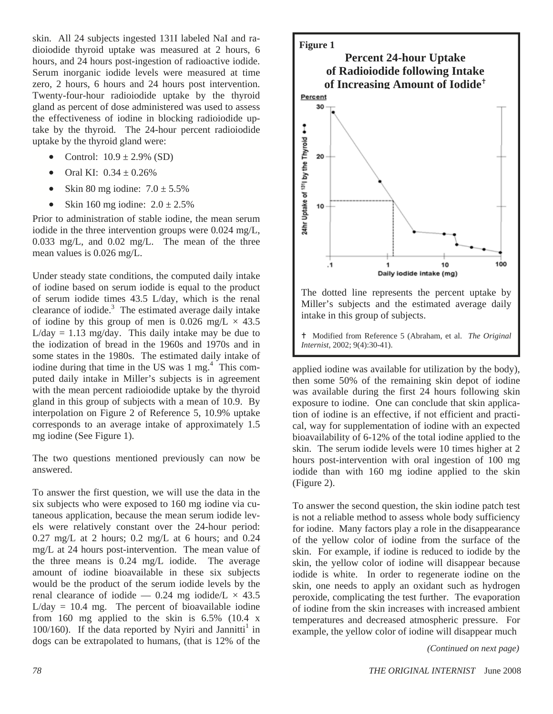skin. All 24 subjects ingested 131I labeled NaI and radioiodide thyroid uptake was measured at 2 hours, 6 hours, and 24 hours post-ingestion of radioactive iodide. Serum inorganic iodide levels were measured at time zero, 2 hours, 6 hours and 24 hours post intervention. Twenty-four-hour radioiodide uptake by the thyroid gland as percent of dose administered was used to assess the effectiveness of iodine in blocking radioiodide uptake by the thyroid. The 24-hour percent radioiodide uptake by the thyroid gland were:

- Control:  $10.9 \pm 2.9\%$  (SD)
- Oral KI:  $0.34 \pm 0.26\%$
- Skin 80 mg iodine:  $7.0 \pm 5.5\%$
- Skin 160 mg iodine:  $2.0 \pm 2.5\%$

Prior to administration of stable iodine, the mean serum iodide in the three intervention groups were 0.024 mg/L, 0.033 mg/L, and 0.02 mg/L. The mean of the three mean values is 0.026 mg/L.

Under steady state conditions, the computed daily intake of iodine based on serum iodide is equal to the product of serum iodide times 43.5 L/day, which is the renal clearance of iodide. $3$  The estimated average daily intake of iodine by this group of men is 0.026 mg/L  $\times$  43.5  $L/day = 1.13$  mg/day. This daily intake may be due to the iodization of bread in the 1960s and 1970s and in some states in the 1980s. The estimated daily intake of iodine during that time in the US was  $1 \text{ mg}$ .<sup>4</sup> This computed daily intake in Miller's subjects is in agreement with the mean percent radioiodide uptake by the thyroid gland in this group of subjects with a mean of 10.9. By interpolation on Figure 2 of Reference 5, 10.9% uptake corresponds to an average intake of approximately 1.5 mg iodine (See Figure 1).

The two questions mentioned previously can now be answered.

To answer the first question, we will use the data in the six subjects who were exposed to 160 mg iodine via cutaneous application, because the mean serum iodide levels were relatively constant over the 24-hour period: 0.27 mg/L at 2 hours; 0.2 mg/L at 6 hours; and 0.24 mg/L at 24 hours post-intervention. The mean value of the three means is 0.24 mg/L iodide. The average amount of iodine bioavailable in these six subjects would be the product of the serum iodide levels by the renal clearance of iodide — 0.24 mg iodide/ $L \times 43.5$  $L/day = 10.4$  mg. The percent of bioavailable iodine from 160 mg applied to the skin is  $6.5\%$  (10.4 x 100/160). If the data reported by Nyiri and Jannitti<sup>1</sup> in dogs can be extrapolated to humans, (that is 12% of the



applied iodine was available for utilization by the body), then some 50% of the remaining skin depot of iodine was available during the first 24 hours following skin exposure to iodine. One can conclude that skin application of iodine is an effective, if not efficient and practical, way for supplementation of iodine with an expected bioavailability of 6-12% of the total iodine applied to the skin. The serum iodide levels were 10 times higher at 2 hours post-intervention with oral ingestion of 100 mg iodide than with 160 mg iodine applied to the skin (Figure 2).

To answer the second question, the skin iodine patch test is not a reliable method to assess whole body sufficiency for iodine. Many factors play a role in the disappearance of the yellow color of iodine from the surface of the skin. For example, if iodine is reduced to iodide by the skin, the yellow color of iodine will disappear because iodide is white. In order to regenerate iodine on the skin, one needs to apply an oxidant such as hydrogen peroxide, complicating the test further. The evaporation of iodine from the skin increases with increased ambient temperatures and decreased atmospheric pressure. For example, the yellow color of iodine will disappear much

*(Continued on next page)*